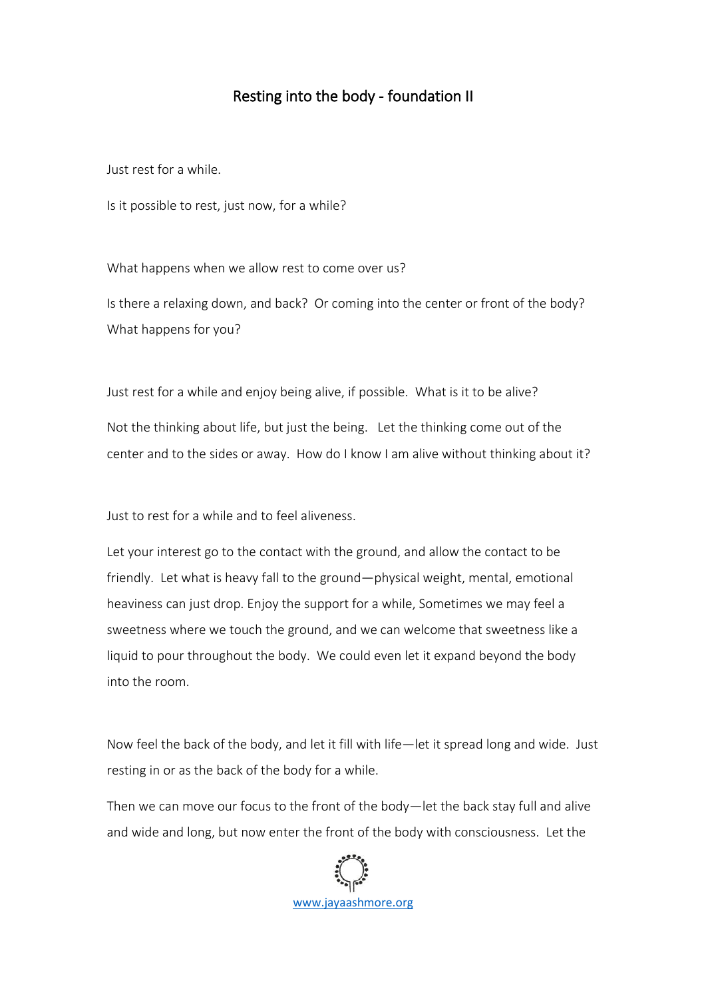## Resting into the body - foundation II

Just rest for a while.

Is it possible to rest, just now, for a while?

What happens when we allow rest to come over us?

Is there a relaxing down, and back? Or coming into the center or front of the body? What happens for you?

Just rest for a while and enjoy being alive, if possible. What is it to be alive? Not the thinking about life, but just the being. Let the thinking come out of the center and to the sides or away. How do I know I am alive without thinking about it?

Just to rest for a while and to feel aliveness.

Let your interest go to the contact with the ground, and allow the contact to be friendly. Let what is heavy fall to the ground—physical weight, mental, emotional heaviness can just drop. Enjoy the support for a while, Sometimes we may feel a sweetness where we touch the ground, and we can welcome that sweetness like a liquid to pour throughout the body. We could even let it expand beyond the body into the room.

Now feel the back of the body, and let it fill with life—let it spread long and wide. Just resting in or as the back of the body for a while.

Then we can move our focus to the front of the body—let the back stay full and alive and wide and long, but now enter the front of the body with consciousness. Let the